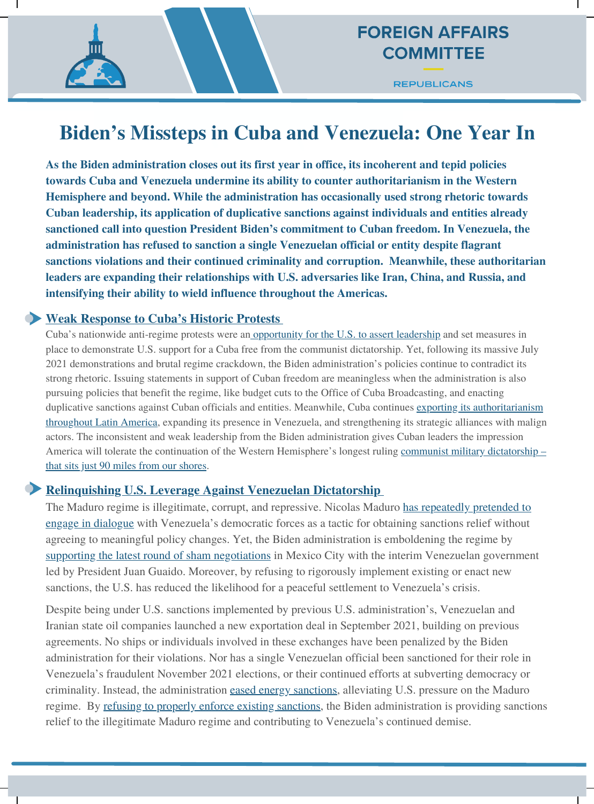## **FOREIGN AFFAIRS COMMITTEE**

**REPUBLICANS** 

# **Biden's Missteps in Cuba and Venezuela: One Year In**

**As the Biden administration closes out its first year in office, its incoherent and tepid policies towards Cuba and Venezuela undermine its ability to counter authoritarianism in the Western Hemisphere and beyond. While the administration has occasionally used strong rhetoric towards Cuban leadership, its application of duplicative sanctions against individuals and entities already sanctioned call into question President Biden's commitment to Cuban freedom. In Venezuela, the administration has refused to sanction a single Venezuelan official or entity despite flagrant sanctions violations and their continued criminality and corruption. Meanwhile, these authoritarian leaders are expanding their relationships with U.S. adversaries like Iran, China, and Russia, and intensifying their ability to wield influence throughout the Americas.**

#### **Weak Response to Cuba's Historic Protests**

Cuba's nationwide anti-regime protests were an [opportunity](https://gop-foreignaffairs.house.gov/press-release/mccaul-america-stands-for-everything-the-cubans-are-fighting-for-freedom-liberty-and-democracy/) for the U.S. to assert leadership and set measures in place to demonstrate U.S. support for a Cuba free from the communist dictatorship. Yet, following its massive July 2021 demonstrations and brutal regime crackdown, the Biden administration's policies continue to contradict its strong rhetoric. Issuing statements in support of Cuban freedom are meaningless when the administration is also pursuing policies that benefit the regime, like budget cuts to the Office of Cuba Broadcasting, and enacting duplicative sanctions against Cuban officials and entities. Meanwhile, Cuba continues exporting its [authoritarianism](https://www.wsj.com/articles/appeasing-cubas-regime-didnt-work-11617400699?mod=searchresults_pos1&page=1) throughout Latin America, expanding its presence in Venezuela, and strengthening its strategic alliances with malign actors. The inconsistent and weak leadership from the Biden administration gives Cuban leaders the impression America will tolerate the continuation of the Western [Hemisphere's](https://gop-foreignaffairs.house.gov/press-release/mccaul-mccarthy-and-members-of-leaders-advisory-group-on-cuba-send-letter-to-biden/) longest ruling communist military dictatorship – that sits just 90 miles from our shores.

#### **Relinquishing U.S. Leverage Against Venezuelan Dictatorship**

The Maduro regime is illegitimate, corrupt, and repressive. Nicolas Maduro has repeatedly pretended to engage in dialogue with Venezuela's democratic forces as [a tactic for obtaining sanctions relief without](https://gop-foreignaffairs.house.gov/press-release/mccaul-on-venezuela-negotiations-biden-administration-must-not-embolden-maduro-regime/) agreeing to meaningful policy changes. Yet, the Biden administration is emboldening the regime by supporting the latest round of sham [negotiations](https://www.state.gov/joint-statement-on-venezuela-negotiations/) in Mexico City with the interim Venezuelan government led by President Juan Guaido. Moreover, by refusing to rigorously implement existing or enact new sanctions, the U.S. has reduced the likelihood for a peaceful settlement to Venezuela's crisis.

Despite being under U.S. sanctions implemented by previous U.S. administration's, Venezuelan and Iranian state oil companies launched a new exportation deal in September 2021, building on previous agreements. No ships or individuals involved in these exchanges have been penalized by the Biden administration for their violations. Nor has a single Venezuelan official been sanctioned for their role in Venezuela's fraudulent November 2021 elections, or their continued efforts at subverting democracy or criminality. Instead, the administration eased energy [sanctions](https://home.treasury.gov/system/files/126/venezuela_gl40.pdf), alleviating U.S. pressure on the Maduro regime. By refusing to properly enforce existing [sanctions,](https://www.spglobal.com/platts/en/market-insights/podcasts/crude/20220110-oil-price-roundup-opec-spr) the Biden administration is providing sanctions relief to the illegitimate Maduro regime and contributing to Venezuela's continued demise.